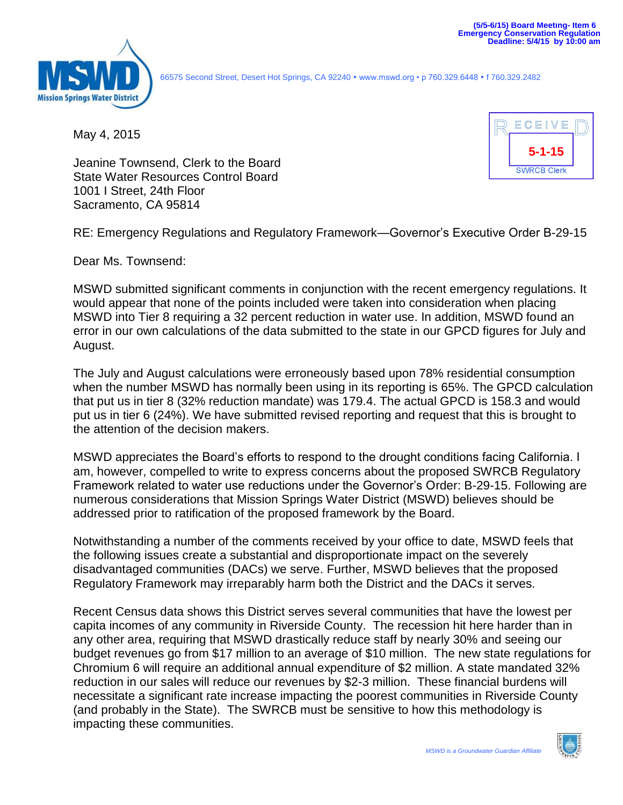

66575 Second Street, Desert Hot Springs, CA 92240 www.mswd.org • p 760.329.6448 f 760.329.2482

May 4, 2015



Jeanine Townsend, Clerk to the Board State Water Resources Control Board 1001 I Street, 24th Floor Sacramento, CA 95814

RE: Emergency Regulations and Regulatory Framework—Governor's Executive Order B-29-15

Dear Ms. Townsend:

MSWD submitted significant comments in conjunction with the recent emergency regulations. It would appear that none of the points included were taken into consideration when placing MSWD into Tier 8 requiring a 32 percent reduction in water use. In addition, MSWD found an error in our own calculations of the data submitted to the state in our GPCD figures for July and August.

The July and August calculations were erroneously based upon 78% residential consumption when the number MSWD has normally been using in its reporting is 65%. The GPCD calculation that put us in tier 8 (32% reduction mandate) was 179.4. The actual GPCD is 158.3 and would put us in tier 6 (24%). We have submitted revised reporting and request that this is brought to the attention of the decision makers.

MSWD appreciates the Board's efforts to respond to the drought conditions facing California. I am, however, compelled to write to express concerns about the proposed SWRCB Regulatory Framework related to water use reductions under the Governor's Order: B-29-15. Following are numerous considerations that Mission Springs Water District (MSWD) believes should be addressed prior to ratification of the proposed framework by the Board.

Notwithstanding a number of the comments received by your office to date, MSWD feels that the following issues create a substantial and disproportionate impact on the severely disadvantaged communities (DACs) we serve. Further, MSWD believes that the proposed Regulatory Framework may irreparably harm both the District and the DACs it serves.

Recent Census data shows this District serves several communities that have the lowest per capita incomes of any community in Riverside County. The recession hit here harder than in any other area, requiring that MSWD drastically reduce staff by nearly 30% and seeing our budget revenues go from \$17 million to an average of \$10 million. The new state regulations for Chromium 6 will require an additional annual expenditure of \$2 million. A state mandated 32% reduction in our sales will reduce our revenues by \$2-3 million. These financial burdens will necessitate a significant rate increase impacting the poorest communities in Riverside County (and probably in the State). The SWRCB must be sensitive to how this methodology is impacting these communities.

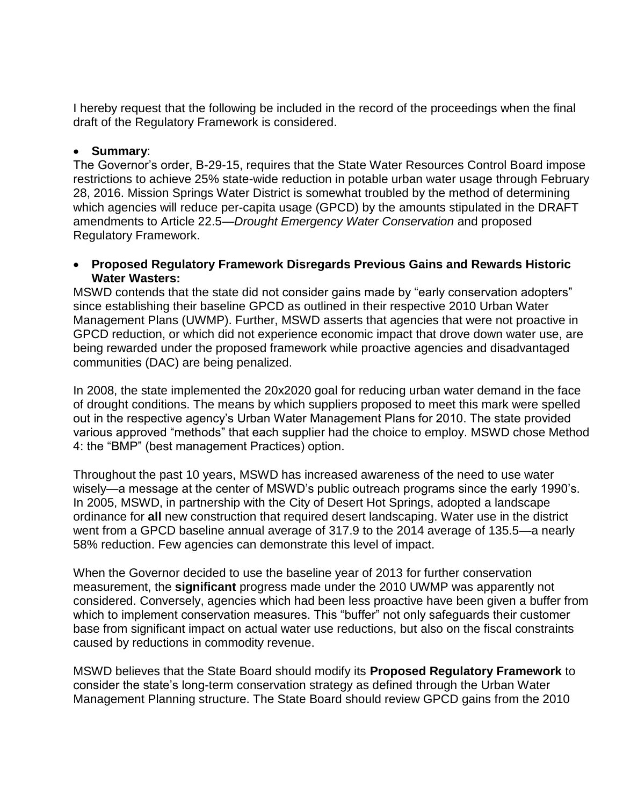I hereby request that the following be included in the record of the proceedings when the final draft of the Regulatory Framework is considered.

# **Summary**:

The Governor's order, B-29-15, requires that the State Water Resources Control Board impose restrictions to achieve 25% state-wide reduction in potable urban water usage through February 28, 2016. Mission Springs Water District is somewhat troubled by the method of determining which agencies will reduce per-capita usage (GPCD) by the amounts stipulated in the DRAFT amendments to Article 22.5—*Drought Emergency Water Conservation* and proposed Regulatory Framework.

### **Proposed Regulatory Framework Disregards Previous Gains and Rewards Historic Water Wasters:**

MSWD contends that the state did not consider gains made by "early conservation adopters" since establishing their baseline GPCD as outlined in their respective 2010 Urban Water Management Plans (UWMP). Further, MSWD asserts that agencies that were not proactive in GPCD reduction, or which did not experience economic impact that drove down water use, are being rewarded under the proposed framework while proactive agencies and disadvantaged communities (DAC) are being penalized.

In 2008, the state implemented the 20x2020 goal for reducing urban water demand in the face of drought conditions. The means by which suppliers proposed to meet this mark were spelled out in the respective agency's Urban Water Management Plans for 2010. The state provided various approved "methods" that each supplier had the choice to employ. MSWD chose Method 4: the "BMP" (best management Practices) option.

Throughout the past 10 years, MSWD has increased awareness of the need to use water wisely—a message at the center of MSWD's public outreach programs since the early 1990's. In 2005, MSWD, in partnership with the City of Desert Hot Springs, adopted a landscape ordinance for **all** new construction that required desert landscaping. Water use in the district went from a GPCD baseline annual average of 317.9 to the 2014 average of 135.5—a nearly 58% reduction. Few agencies can demonstrate this level of impact.

When the Governor decided to use the baseline year of 2013 for further conservation measurement, the **significant** progress made under the 2010 UWMP was apparently not considered. Conversely, agencies which had been less proactive have been given a buffer from which to implement conservation measures. This "buffer" not only safeguards their customer base from significant impact on actual water use reductions, but also on the fiscal constraints caused by reductions in commodity revenue.

MSWD believes that the State Board should modify its **Proposed Regulatory Framework** to consider the state's long-term conservation strategy as defined through the Urban Water Management Planning structure. The State Board should review GPCD gains from the 2010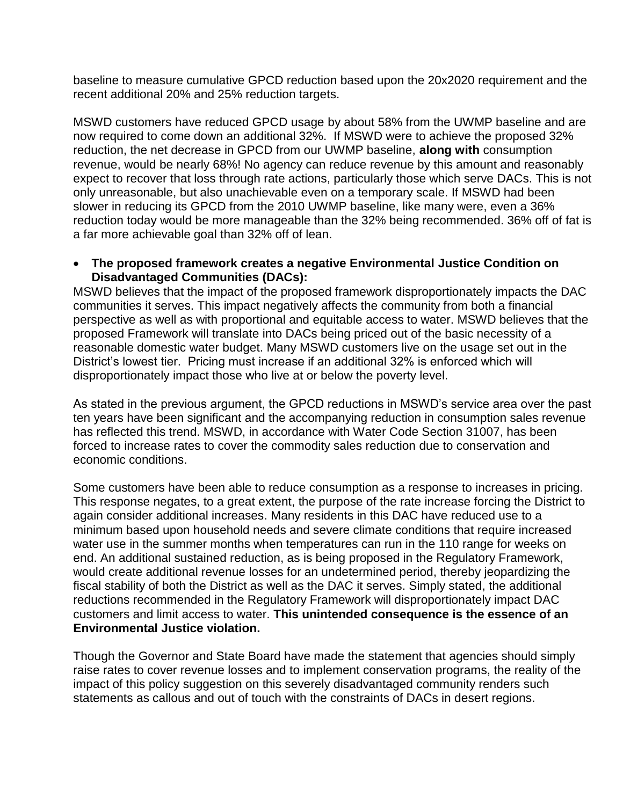baseline to measure cumulative GPCD reduction based upon the 20x2020 requirement and the recent additional 20% and 25% reduction targets.

MSWD customers have reduced GPCD usage by about 58% from the UWMP baseline and are now required to come down an additional 32%. If MSWD were to achieve the proposed 32% reduction, the net decrease in GPCD from our UWMP baseline, **along with** consumption revenue, would be nearly 68%! No agency can reduce revenue by this amount and reasonably expect to recover that loss through rate actions, particularly those which serve DACs. This is not only unreasonable, but also unachievable even on a temporary scale. If MSWD had been slower in reducing its GPCD from the 2010 UWMP baseline, like many were, even a 36% reduction today would be more manageable than the 32% being recommended. 36% off of fat is a far more achievable goal than 32% off of lean.

# **The proposed framework creates a negative Environmental Justice Condition on Disadvantaged Communities (DACs):**

MSWD believes that the impact of the proposed framework disproportionately impacts the DAC communities it serves. This impact negatively affects the community from both a financial perspective as well as with proportional and equitable access to water. MSWD believes that the proposed Framework will translate into DACs being priced out of the basic necessity of a reasonable domestic water budget. Many MSWD customers live on the usage set out in the District's lowest tier. Pricing must increase if an additional 32% is enforced which will disproportionately impact those who live at or below the poverty level.

As stated in the previous argument, the GPCD reductions in MSWD's service area over the past ten years have been significant and the accompanying reduction in consumption sales revenue has reflected this trend. MSWD, in accordance with Water Code Section 31007, has been forced to increase rates to cover the commodity sales reduction due to conservation and economic conditions.

Some customers have been able to reduce consumption as a response to increases in pricing. This response negates, to a great extent, the purpose of the rate increase forcing the District to again consider additional increases. Many residents in this DAC have reduced use to a minimum based upon household needs and severe climate conditions that require increased water use in the summer months when temperatures can run in the 110 range for weeks on end. An additional sustained reduction, as is being proposed in the Regulatory Framework, would create additional revenue losses for an undetermined period, thereby jeopardizing the fiscal stability of both the District as well as the DAC it serves. Simply stated, the additional reductions recommended in the Regulatory Framework will disproportionately impact DAC customers and limit access to water. **This unintended consequence is the essence of an Environmental Justice violation.** 

Though the Governor and State Board have made the statement that agencies should simply raise rates to cover revenue losses and to implement conservation programs, the reality of the impact of this policy suggestion on this severely disadvantaged community renders such statements as callous and out of touch with the constraints of DACs in desert regions.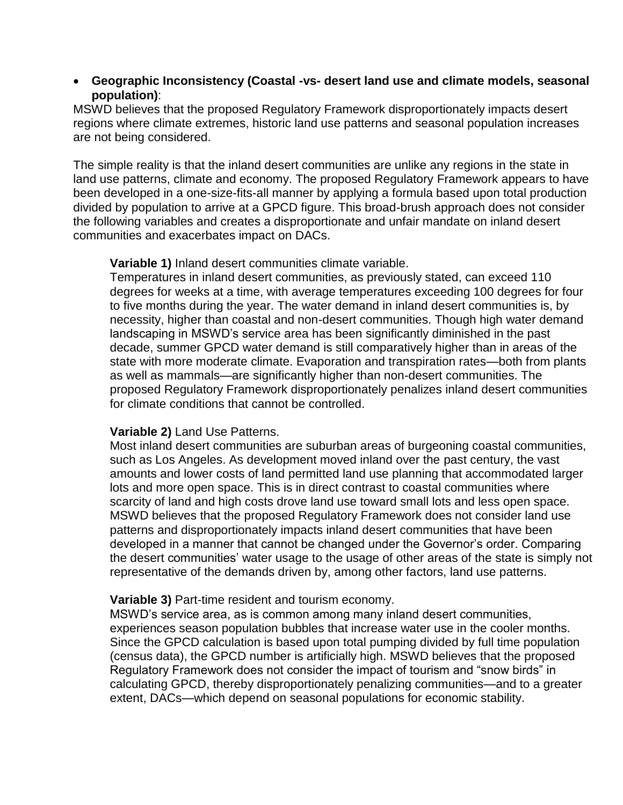### **Geographic Inconsistency (Coastal -vs- desert land use and climate models, seasonal population)**:

MSWD believes that the proposed Regulatory Framework disproportionately impacts desert regions where climate extremes, historic land use patterns and seasonal population increases are not being considered.

The simple reality is that the inland desert communities are unlike any regions in the state in land use patterns, climate and economy. The proposed Regulatory Framework appears to have been developed in a one-size-fits-all manner by applying a formula based upon total production divided by population to arrive at a GPCD figure. This broad-brush approach does not consider the following variables and creates a disproportionate and unfair mandate on inland desert communities and exacerbates impact on DACs.

#### **Variable 1)** Inland desert communities climate variable.

Temperatures in inland desert communities, as previously stated, can exceed 110 degrees for weeks at a time, with average temperatures exceeding 100 degrees for four to five months during the year. The water demand in inland desert communities is, by necessity, higher than coastal and non-desert communities. Though high water demand landscaping in MSWD's service area has been significantly diminished in the past decade, summer GPCD water demand is still comparatively higher than in areas of the state with more moderate climate. Evaporation and transpiration rates—both from plants as well as mammals—are significantly higher than non-desert communities. The proposed Regulatory Framework disproportionately penalizes inland desert communities for climate conditions that cannot be controlled.

# **Variable 2)** Land Use Patterns.

Most inland desert communities are suburban areas of burgeoning coastal communities, such as Los Angeles. As development moved inland over the past century, the vast amounts and lower costs of land permitted land use planning that accommodated larger lots and more open space. This is in direct contrast to coastal communities where scarcity of land and high costs drove land use toward small lots and less open space. MSWD believes that the proposed Regulatory Framework does not consider land use patterns and disproportionately impacts inland desert communities that have been developed in a manner that cannot be changed under the Governor's order. Comparing the desert communities' water usage to the usage of other areas of the state is simply not representative of the demands driven by, among other factors, land use patterns.

# **Variable 3)** Part-time resident and tourism economy.

MSWD's service area, as is common among many inland desert communities, experiences season population bubbles that increase water use in the cooler months. Since the GPCD calculation is based upon total pumping divided by full time population (census data), the GPCD number is artificially high. MSWD believes that the proposed Regulatory Framework does not consider the impact of tourism and "snow birds" in calculating GPCD, thereby disproportionately penalizing communities—and to a greater extent, DACs—which depend on seasonal populations for economic stability.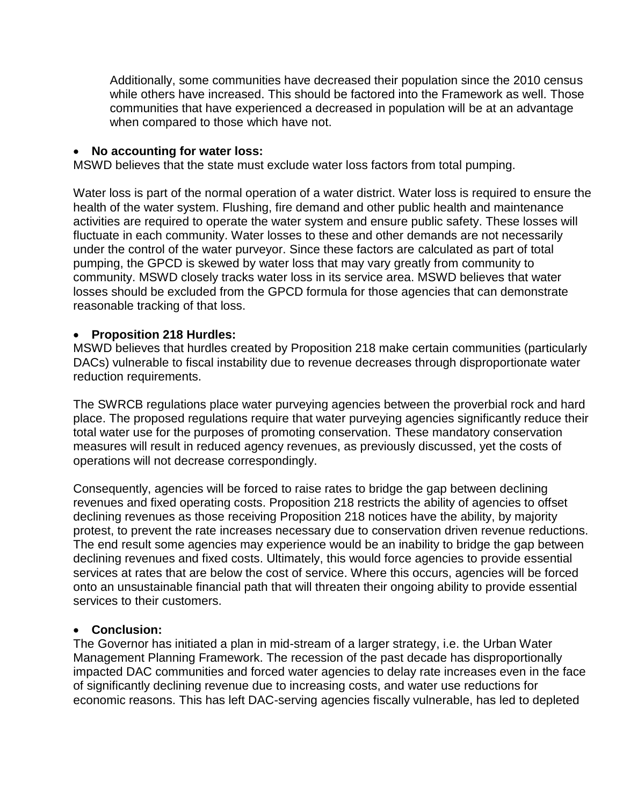Additionally, some communities have decreased their population since the 2010 census while others have increased. This should be factored into the Framework as well. Those communities that have experienced a decreased in population will be at an advantage when compared to those which have not.

# **No accounting for water loss:**

MSWD believes that the state must exclude water loss factors from total pumping.

Water loss is part of the normal operation of a water district. Water loss is required to ensure the health of the water system. Flushing, fire demand and other public health and maintenance activities are required to operate the water system and ensure public safety. These losses will fluctuate in each community. Water losses to these and other demands are not necessarily under the control of the water purveyor. Since these factors are calculated as part of total pumping, the GPCD is skewed by water loss that may vary greatly from community to community. MSWD closely tracks water loss in its service area. MSWD believes that water losses should be excluded from the GPCD formula for those agencies that can demonstrate reasonable tracking of that loss.

### **Proposition 218 Hurdles:**

MSWD believes that hurdles created by Proposition 218 make certain communities (particularly DACs) vulnerable to fiscal instability due to revenue decreases through disproportionate water reduction requirements.

The SWRCB regulations place water purveying agencies between the proverbial rock and hard place. The proposed regulations require that water purveying agencies significantly reduce their total water use for the purposes of promoting conservation. These mandatory conservation measures will result in reduced agency revenues, as previously discussed, yet the costs of operations will not decrease correspondingly.

Consequently, agencies will be forced to raise rates to bridge the gap between declining revenues and fixed operating costs. Proposition 218 restricts the ability of agencies to offset declining revenues as those receiving Proposition 218 notices have the ability, by majority protest, to prevent the rate increases necessary due to conservation driven revenue reductions. The end result some agencies may experience would be an inability to bridge the gap between declining revenues and fixed costs. Ultimately, this would force agencies to provide essential services at rates that are below the cost of service. Where this occurs, agencies will be forced onto an unsustainable financial path that will threaten their ongoing ability to provide essential services to their customers.

#### **Conclusion:**

The Governor has initiated a plan in mid-stream of a larger strategy, i.e. the Urban Water Management Planning Framework. The recession of the past decade has disproportionally impacted DAC communities and forced water agencies to delay rate increases even in the face of significantly declining revenue due to increasing costs, and water use reductions for economic reasons. This has left DAC-serving agencies fiscally vulnerable, has led to depleted